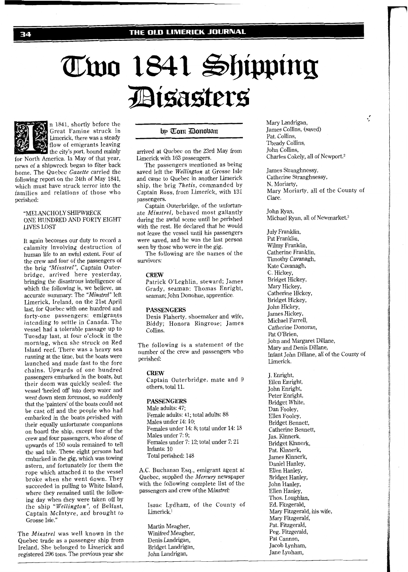# Two 1841 Shipping *Eisasters*



n 1841, shortly before the Great Famine struck in Limerick, there was a steady flow of emigrants leaving the city's port, bound mainly

for North America. In May of that year, news of a shipwreck began to filter back home. The Quebec Gazette carried the following report on the 24th of May 1841, which must have struck terror into the families and relations of those who perished:

### "MELANCHOLY SHIPWRECK ONE HUNDRED AND FORTY EIGHT LIVES LOST

It again becomes our duty to record a calamity involving destruction of human life to an awful extent. Four of the crew and four of the passengers of the brig "Minstrel", Captain Outerbridge, arrived here yesterday, bringing the disastrous intelligence of which the following is, we believe, an accurate summary: The "Minstrel" left Limerick, Ireland, on the 21st April last, for Quebec with one hundred and forty-one passengers: emigrants intcnding to settle in Canada. The vessel had a tolerable passage up to Tuesday last, at four o'clock in the morning, when she struck on Red Island reef. There was a heavy sea running at the time, but the boats were launched and made fast to the fore chains. Upwards of one hundred passengers embarked in the boats, but their doom was quickly sealed: the vessel 'heeled off into deep water and went down stem foremost, so suddenly that the 'painters' of the boats could not be cast off and the people who had embarked in the boats perished with their equally unfortunate companions on board the ship, except four of the crew and four passengers, who alone of upwards of 150 souls remained to tell the sad tale. These eight persons had embarked in the gig, which was towing astern, and fortunately for them the rope which attached it to the vessel broke when she went down. They succeeded in pulling to White Island, where they remained until the following day when they were taken off by the ship "Wellington", of Belfast, Captain McIntyre, and brought to Grosse Isle."

The Minstrel was well known in the Quebec trade as a passenger ship from Ireland. She belonged to Limerick and registered 296 tons. The previous year she

# by Tom Donoban

arrived at Quebec on the 23rd May from Limerick with 163 passengers.

The passengers mentioned as being saved left the Wellington at Grosse Isle and came to Quebec in another Limerick ship, the brig Thetis, commanded by Captain Ross, from Limerick, with 131 passengers.

Captain Outerbridge, of the unfortunate Minstrel, behaved most gallantly during the awful scene until he perished with the rest. He declared that he would not leave the vessel until his passengers were saved, and he was the last person seen by those who were in the gig.

The following are the names of the survivors:

#### **CREW**

Patrick O'Leghlin, steward; James Grady, seaman; Thomas Enright, seaman; John Donohue, apprentice.

#### **PASSENGERS**

Denis Flaherty, shoemaker and wife, Biddy; Honora Ringrose; James Collins.

The following is a statement of the number of the crew and passengers who perished:

#### **CREW**

Captain Outerbridge, mate and 9 others, total 11.

#### **PASSENGERS**

Male adults: 47; Female adults: 41; total adults: 88 Males under 14: 10; Females under 14: 8; total under 14: 18 Males under 7: 9; Females under 7: 12; total under 7: 21 Infants: 10 Total perished: 148

A.C. Buchanan Esq., emigrant agent at Quebec, supplied the Mercury newspaper with the following complete list of the passengers and crew of the Minstrel:

Isaac Lydham, of the County of Limerick.<sup>1</sup>

Martin Meagher, Winifred Meagher, Denis Landrigan, Bridget Landrigan, John Landrigan,

Mary Landrigan,  $\mathcal{I}$ James Collins, (saved) Pat. Collins, Theady Collins, John Collins, Charles Cokely, all of Newport.<sup>2</sup>

James Stranghnessy, Catherine Stranghnessy, N. Moriarty, Mary Moriarty, all of the County of Clare.

John Ryan, Michael Ryan, all of Newmarket.<sup>3</sup>

July Franklin, Pat Franklin, Wilmy Franklin, Catherine Franklin, Timothy Cavanagh, Kate Cavanagh, C. Hickey, Bridget Hickey, Mary Hickey, Catherine Hickey, Bridget Hickey, John Hickey, James Hickey, Michael Farrell, Catherine Donovan, Pat O'Brien, John and Margaret Dillane, Mary and Denis Dillane, Infant John Dillane, all of the County of Limerick.

J. Enright, Eilen Enright, John Enright, Peter Enright, Bridget White, Dan Fooley, Ellen Fooley, Bridget Bennett, Catherine Bennett, Jas. Kinnerk, Bridget Kinnerk, Pat. Kinnerk, James Kinnerk, Daniel Hanley, Ellen Hanley, Bridget Hanley, John Hanley, Ellen Hanley, Thos. Loughlan, Ed. Fitzgerald, Mary Fitzgerald, his wife, Mary Fitzgerald, Pat. Fitzgerald, Peg. Fitzgerald, Pat Cannon, Jacob Lynham, Jane Lynham,